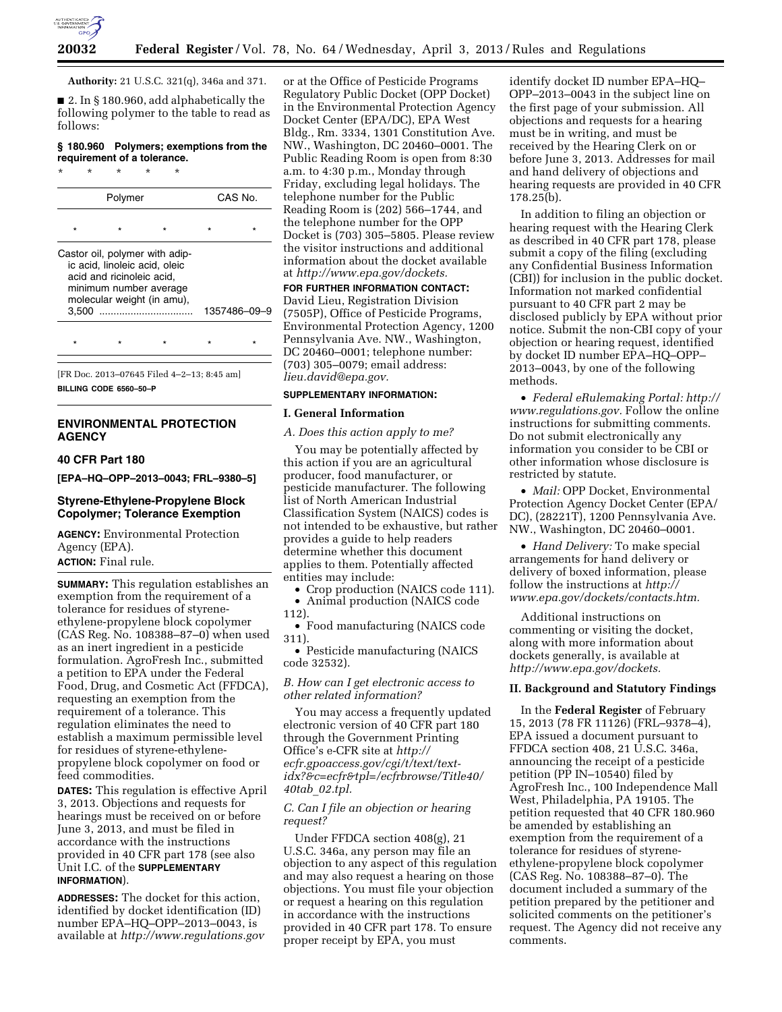

**Authority:** 21 U.S.C. 321(q), 346a and 371.

■ 2. In § 180.960, add alphabetically the following polymer to the table to read as follows:

## **§ 180.960 Polymers; exemptions from the requirement of a tolerance.**

\* \* \* \* \*

| Polymer |                                                                                      |                                                              | CAS No. |              |
|---------|--------------------------------------------------------------------------------------|--------------------------------------------------------------|---------|--------------|
|         |                                                                                      |                                                              |         |              |
| 3.500   | ic acid, linoleic acid, oleic<br>acid and ricinoleic acid.<br>minimum number average | Castor oil, polymer with adip-<br>molecular weight (in amu), |         | 1357486-09-9 |
|         |                                                                                      |                                                              |         |              |

[FR Doc. 2013–07645 Filed 4–2–13; 8:45 am] **BILLING CODE 6560–50–P** 

# **ENVIRONMENTAL PROTECTION AGENCY**

## **40 CFR Part 180**

**[EPA–HQ–OPP–2013–0043; FRL–9380–5]** 

### **Styrene-Ethylene-Propylene Block Copolymer; Tolerance Exemption**

**AGENCY:** Environmental Protection Agency (EPA). **ACTION:** Final rule.

**SUMMARY:** This regulation establishes an exemption from the requirement of a tolerance for residues of styreneethylene-propylene block copolymer (CAS Reg. No. 108388–87–0) when used as an inert ingredient in a pesticide formulation. AgroFresh Inc., submitted a petition to EPA under the Federal Food, Drug, and Cosmetic Act (FFDCA), requesting an exemption from the requirement of a tolerance. This regulation eliminates the need to establish a maximum permissible level for residues of styrene-ethylenepropylene block copolymer on food or feed commodities.

**DATES:** This regulation is effective April 3, 2013. Objections and requests for hearings must be received on or before June 3, 2013, and must be filed in accordance with the instructions provided in 40 CFR part 178 (see also Unit I.C. of the **SUPPLEMENTARY INFORMATION**).

**ADDRESSES:** The docket for this action, identified by docket identification (ID) number EPA–HQ–OPP–2013–0043, is available at *<http://www.regulations.gov>*

or at the Office of Pesticide Programs Regulatory Public Docket (OPP Docket) in the Environmental Protection Agency Docket Center (EPA/DC), EPA West Bldg., Rm. 3334, 1301 Constitution Ave. NW., Washington, DC 20460–0001. The Public Reading Room is open from 8:30 a.m. to 4:30 p.m., Monday through Friday, excluding legal holidays. The telephone number for the Public Reading Room is (202) 566–1744, and the telephone number for the OPP Docket is (703) 305–5805. Please review the visitor instructions and additional information about the docket available at *[http://www.epa.gov/dockets.](http://www.epa.gov/dockets)* 

**FOR FURTHER INFORMATION CONTACT:**  David Lieu, Registration Division (7505P), Office of Pesticide Programs, Environmental Protection Agency, 1200 Pennsylvania Ave. NW., Washington, DC 20460–0001; telephone number: (703) 305–0079; email address: *[lieu.david@epa.gov.](mailto:lieu.david@epa.gov)* 

# **SUPPLEMENTARY INFORMATION:**

#### **I. General Information**

*A. Does this action apply to me?* 

You may be potentially affected by this action if you are an agricultural producer, food manufacturer, or pesticide manufacturer. The following list of North American Industrial Classification System (NAICS) codes is not intended to be exhaustive, but rather provides a guide to help readers determine whether this document applies to them. Potentially affected entities may include:

• Crop production (NAICS code 111). • Animal production (NAICS code

112).

• Food manufacturing (NAICS code 311).

• Pesticide manufacturing (NAICS code 32532).

*B. How can I get electronic access to other related information?* 

You may access a frequently updated electronic version of 40 CFR part 180 through the Government Printing Office's e-CFR site at *[http://](http://ecfr.gpoaccess.gov/cgi/t/text/text-idx?&c=ecfr&tpl=/ecfrbrowse/Title40/40tab_02.tpl)  ecfr.gpoaccess.gov/cgi/t/text/text[idx?&c=ecfr&tpl=/ecfrbrowse/Title40/](http://ecfr.gpoaccess.gov/cgi/t/text/text-idx?&c=ecfr&tpl=/ecfrbrowse/Title40/40tab_02.tpl)  40tab*\_*02.tpl.* 

### *C. Can I file an objection or hearing request?*

Under FFDCA section 408(g), 21 U.S.C. 346a, any person may file an objection to any aspect of this regulation and may also request a hearing on those objections. You must file your objection or request a hearing on this regulation in accordance with the instructions provided in 40 CFR part 178. To ensure proper receipt by EPA, you must

identify docket ID number EPA–HQ– OPP–2013–0043 in the subject line on the first page of your submission. All objections and requests for a hearing must be in writing, and must be received by the Hearing Clerk on or before June 3, 2013. Addresses for mail and hand delivery of objections and hearing requests are provided in 40 CFR 178.25(b).

In addition to filing an objection or hearing request with the Hearing Clerk as described in 40 CFR part 178, please submit a copy of the filing (excluding any Confidential Business Information (CBI)) for inclusion in the public docket. Information not marked confidential pursuant to 40 CFR part 2 may be disclosed publicly by EPA without prior notice. Submit the non-CBI copy of your objection or hearing request, identified by docket ID number EPA–HQ–OPP– 2013–0043, by one of the following methods.

• *Federal eRulemaking Portal: [http://](http://www.regulations.gov)  [www.regulations.gov.](http://www.regulations.gov)* Follow the online instructions for submitting comments. Do not submit electronically any information you consider to be CBI or other information whose disclosure is restricted by statute.

• *Mail:* OPP Docket, Environmental Protection Agency Docket Center (EPA/ DC), (28221T), 1200 Pennsylvania Ave. NW., Washington, DC 20460–0001.

• *Hand Delivery:* To make special arrangements for hand delivery or delivery of boxed information, please follow the instructions at *[http://](http://www.epa.gov/dockets/contacts.htm)  [www.epa.gov/dockets/contacts.htm.](http://www.epa.gov/dockets/contacts.htm)* 

Additional instructions on commenting or visiting the docket, along with more information about dockets generally, is available at *[http://www.epa.gov/dockets.](http://www.epa.gov/dockets)* 

#### **II. Background and Statutory Findings**

In the **Federal Register** of February 15, 2013 (78 FR 11126) (FRL–9378–4), EPA issued a document pursuant to FFDCA section 408, 21 U.S.C. 346a, announcing the receipt of a pesticide petition (PP IN–10540) filed by AgroFresh Inc., 100 Independence Mall West, Philadelphia, PA 19105. The petition requested that 40 CFR 180.960 be amended by establishing an exemption from the requirement of a tolerance for residues of styreneethylene-propylene block copolymer (CAS Reg. No. 108388–87–0). The document included a summary of the petition prepared by the petitioner and solicited comments on the petitioner's request. The Agency did not receive any comments.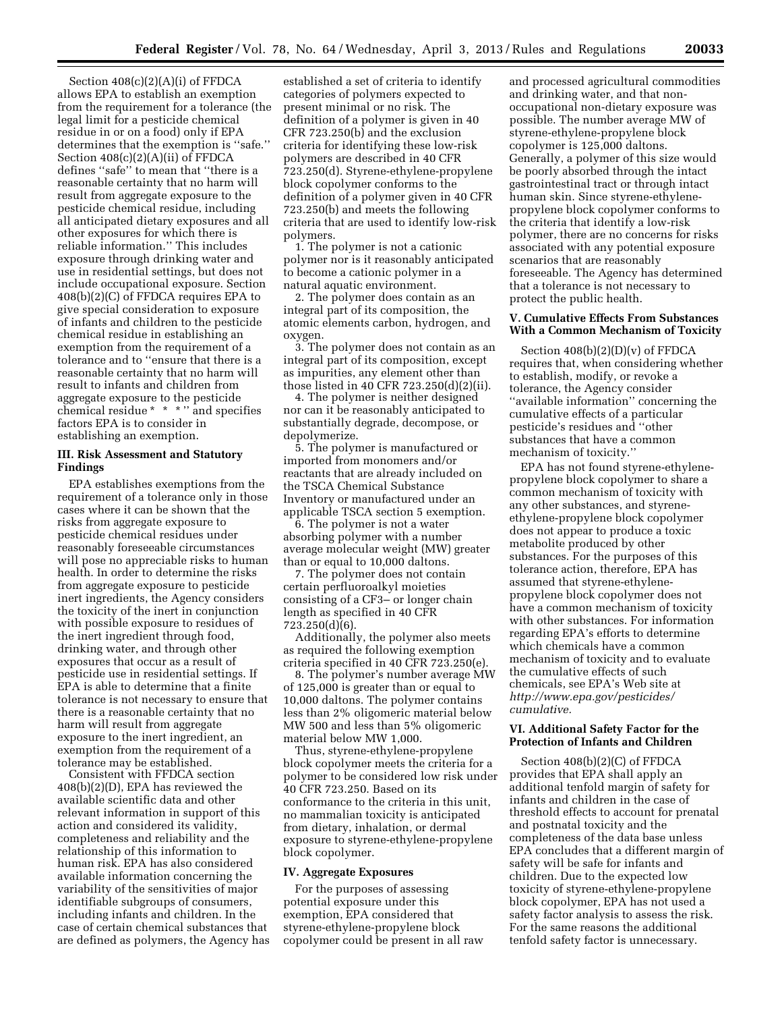Section 408(c)(2)(A)(i) of FFDCA allows EPA to establish an exemption from the requirement for a tolerance (the legal limit for a pesticide chemical residue in or on a food) only if EPA determines that the exemption is ''safe.'' Section 408(c)(2)(A)(ii) of FFDCA defines ''safe'' to mean that ''there is a reasonable certainty that no harm will result from aggregate exposure to the pesticide chemical residue, including all anticipated dietary exposures and all other exposures for which there is reliable information.'' This includes exposure through drinking water and use in residential settings, but does not include occupational exposure. Section 408(b)(2)(C) of FFDCA requires EPA to give special consideration to exposure of infants and children to the pesticide chemical residue in establishing an exemption from the requirement of a tolerance and to ''ensure that there is a reasonable certainty that no harm will result to infants and children from aggregate exposure to the pesticide chemical residue \* \* \* '' and specifies factors EPA is to consider in establishing an exemption.

### **III. Risk Assessment and Statutory Findings**

EPA establishes exemptions from the requirement of a tolerance only in those cases where it can be shown that the risks from aggregate exposure to pesticide chemical residues under reasonably foreseeable circumstances will pose no appreciable risks to human health. In order to determine the risks from aggregate exposure to pesticide inert ingredients, the Agency considers the toxicity of the inert in conjunction with possible exposure to residues of the inert ingredient through food, drinking water, and through other exposures that occur as a result of pesticide use in residential settings. If EPA is able to determine that a finite tolerance is not necessary to ensure that there is a reasonable certainty that no harm will result from aggregate exposure to the inert ingredient, an exemption from the requirement of a tolerance may be established.

Consistent with FFDCA section 408(b)(2)(D), EPA has reviewed the available scientific data and other relevant information in support of this action and considered its validity, completeness and reliability and the relationship of this information to human risk. EPA has also considered available information concerning the variability of the sensitivities of major identifiable subgroups of consumers, including infants and children. In the case of certain chemical substances that are defined as polymers, the Agency has

established a set of criteria to identify categories of polymers expected to present minimal or no risk. The definition of a polymer is given in 40 CFR 723.250(b) and the exclusion criteria for identifying these low-risk polymers are described in 40 CFR 723.250(d). Styrene-ethylene-propylene block copolymer conforms to the definition of a polymer given in 40 CFR 723.250(b) and meets the following criteria that are used to identify low-risk polymers.

1. The polymer is not a cationic polymer nor is it reasonably anticipated to become a cationic polymer in a natural aquatic environment.

2. The polymer does contain as an integral part of its composition, the atomic elements carbon, hydrogen, and oxygen.

3. The polymer does not contain as an integral part of its composition, except as impurities, any element other than those listed in 40 CFR 723.250(d)(2)(ii).

4. The polymer is neither designed nor can it be reasonably anticipated to substantially degrade, decompose, or depolymerize.

5. The polymer is manufactured or imported from monomers and/or reactants that are already included on the TSCA Chemical Substance Inventory or manufactured under an applicable TSCA section 5 exemption.

6. The polymer is not a water absorbing polymer with a number average molecular weight (MW) greater than or equal to 10,000 daltons.

7. The polymer does not contain certain perfluoroalkyl moieties consisting of a CF3– or longer chain length as specified in 40 CFR 723.250(d)(6).

Additionally, the polymer also meets as required the following exemption criteria specified in 40 CFR 723.250(e).

8. The polymer's number average MW of 125,000 is greater than or equal to 10,000 daltons. The polymer contains less than 2% oligomeric material below MW 500 and less than 5% oligomeric material below MW 1,000.

Thus, styrene-ethylene-propylene block copolymer meets the criteria for a polymer to be considered low risk under 40 CFR 723.250. Based on its conformance to the criteria in this unit, no mammalian toxicity is anticipated from dietary, inhalation, or dermal exposure to styrene-ethylene-propylene block copolymer.

#### **IV. Aggregate Exposures**

For the purposes of assessing potential exposure under this exemption, EPA considered that styrene-ethylene-propylene block copolymer could be present in all raw and processed agricultural commodities and drinking water, and that nonoccupational non-dietary exposure was possible. The number average MW of styrene-ethylene-propylene block copolymer is 125,000 daltons. Generally, a polymer of this size would be poorly absorbed through the intact gastrointestinal tract or through intact human skin. Since styrene-ethylenepropylene block copolymer conforms to the criteria that identify a low-risk polymer, there are no concerns for risks associated with any potential exposure scenarios that are reasonably foreseeable. The Agency has determined that a tolerance is not necessary to protect the public health.

#### **V. Cumulative Effects From Substances With a Common Mechanism of Toxicity**

Section 408(b)(2)(D)(v) of FFDCA requires that, when considering whether to establish, modify, or revoke a tolerance, the Agency consider ''available information'' concerning the cumulative effects of a particular pesticide's residues and ''other substances that have a common mechanism of toxicity.''

EPA has not found styrene-ethylenepropylene block copolymer to share a common mechanism of toxicity with any other substances, and styreneethylene-propylene block copolymer does not appear to produce a toxic metabolite produced by other substances. For the purposes of this tolerance action, therefore, EPA has assumed that styrene-ethylenepropylene block copolymer does not have a common mechanism of toxicity with other substances. For information regarding EPA's efforts to determine which chemicals have a common mechanism of toxicity and to evaluate the cumulative effects of such chemicals, see EPA's Web site at *[http://www.epa.gov/pesticides/](http://www.epa.gov/pesticides/cumulative) [cumulative.](http://www.epa.gov/pesticides/cumulative)* 

### **VI. Additional Safety Factor for the Protection of Infants and Children**

Section 408(b)(2)(C) of FFDCA provides that EPA shall apply an additional tenfold margin of safety for infants and children in the case of threshold effects to account for prenatal and postnatal toxicity and the completeness of the data base unless EPA concludes that a different margin of safety will be safe for infants and children. Due to the expected low toxicity of styrene-ethylene-propylene block copolymer, EPA has not used a safety factor analysis to assess the risk. For the same reasons the additional tenfold safety factor is unnecessary.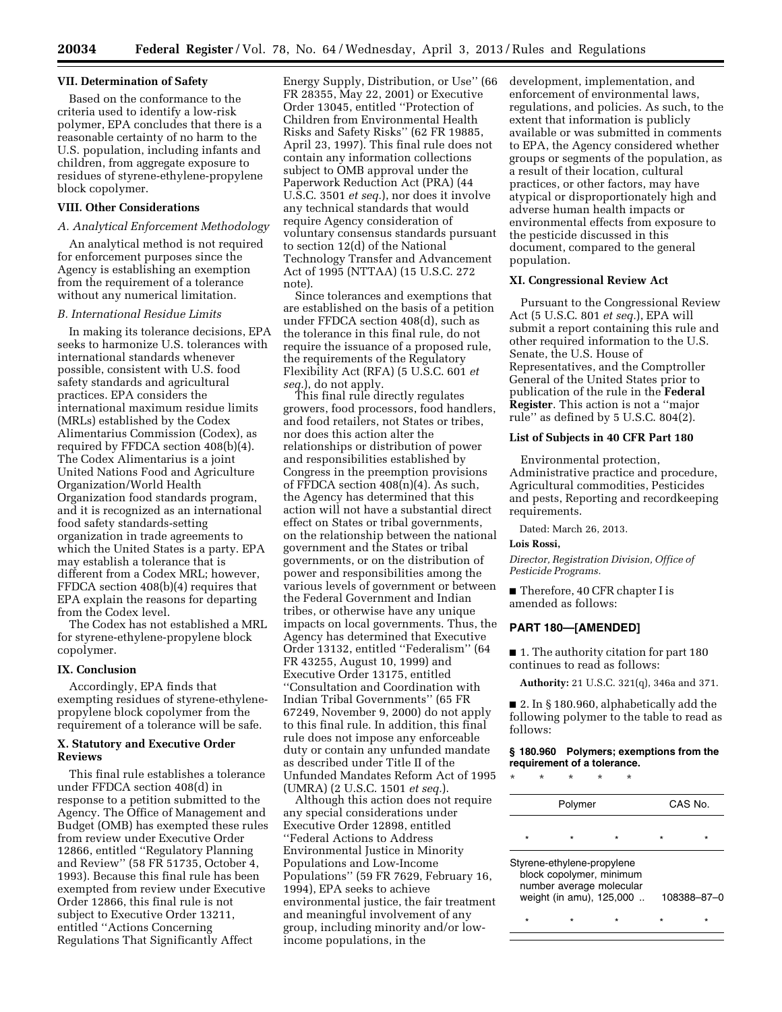#### **VII. Determination of Safety**

Based on the conformance to the criteria used to identify a low-risk polymer, EPA concludes that there is a reasonable certainty of no harm to the U.S. population, including infants and children, from aggregate exposure to residues of styrene-ethylene-propylene block copolymer.

### **VIII. Other Considerations**

### *A. Analytical Enforcement Methodology*

An analytical method is not required for enforcement purposes since the Agency is establishing an exemption from the requirement of a tolerance without any numerical limitation.

### *B. International Residue Limits*

In making its tolerance decisions, EPA seeks to harmonize U.S. tolerances with international standards whenever possible, consistent with U.S. food safety standards and agricultural practices. EPA considers the international maximum residue limits (MRLs) established by the Codex Alimentarius Commission (Codex), as required by FFDCA section 408(b)(4). The Codex Alimentarius is a joint United Nations Food and Agriculture Organization/World Health Organization food standards program, and it is recognized as an international food safety standards-setting organization in trade agreements to which the United States is a party. EPA may establish a tolerance that is different from a Codex MRL; however, FFDCA section 408(b)(4) requires that EPA explain the reasons for departing from the Codex level.

The Codex has not established a MRL for styrene-ethylene-propylene block copolymer.

#### **IX. Conclusion**

Accordingly, EPA finds that exempting residues of styrene-ethylenepropylene block copolymer from the requirement of a tolerance will be safe.

#### **X. Statutory and Executive Order Reviews**

This final rule establishes a tolerance under FFDCA section 408(d) in response to a petition submitted to the Agency. The Office of Management and Budget (OMB) has exempted these rules from review under Executive Order 12866, entitled ''Regulatory Planning and Review'' (58 FR 51735, October 4, 1993). Because this final rule has been exempted from review under Executive Order 12866, this final rule is not subject to Executive Order 13211, entitled ''Actions Concerning Regulations That Significantly Affect

Energy Supply, Distribution, or Use'' (66 FR 28355, May 22, 2001) or Executive Order 13045, entitled ''Protection of Children from Environmental Health Risks and Safety Risks'' (62 FR 19885, April 23, 1997). This final rule does not contain any information collections subject to OMB approval under the Paperwork Reduction Act (PRA) (44 U.S.C. 3501 *et seq.*), nor does it involve any technical standards that would require Agency consideration of voluntary consensus standards pursuant to section 12(d) of the National Technology Transfer and Advancement Act of 1995 (NTTAA) (15 U.S.C. 272 note).

Since tolerances and exemptions that are established on the basis of a petition under FFDCA section 408(d), such as the tolerance in this final rule, do not require the issuance of a proposed rule, the requirements of the Regulatory Flexibility Act (RFA) (5 U.S.C. 601 *et seq.*), do not apply.

This final rule directly regulates growers, food processors, food handlers, and food retailers, not States or tribes, nor does this action alter the relationships or distribution of power and responsibilities established by Congress in the preemption provisions of FFDCA section 408(n)(4). As such, the Agency has determined that this action will not have a substantial direct effect on States or tribal governments, on the relationship between the national government and the States or tribal governments, or on the distribution of power and responsibilities among the various levels of government or between the Federal Government and Indian tribes, or otherwise have any unique impacts on local governments. Thus, the Agency has determined that Executive Order 13132, entitled ''Federalism'' (64 FR 43255, August 10, 1999) and Executive Order 13175, entitled ''Consultation and Coordination with Indian Tribal Governments'' (65 FR 67249, November 9, 2000) do not apply to this final rule. In addition, this final rule does not impose any enforceable duty or contain any unfunded mandate as described under Title II of the Unfunded Mandates Reform Act of 1995 (UMRA) (2 U.S.C. 1501 *et seq.*).

Although this action does not require any special considerations under Executive Order 12898, entitled ''Federal Actions to Address Environmental Justice in Minority Populations and Low-Income Populations'' (59 FR 7629, February 16, 1994), EPA seeks to achieve environmental justice, the fair treatment and meaningful involvement of any group, including minority and/or lowincome populations, in the

development, implementation, and enforcement of environmental laws, regulations, and policies. As such, to the extent that information is publicly available or was submitted in comments to EPA, the Agency considered whether groups or segments of the population, as a result of their location, cultural practices, or other factors, may have atypical or disproportionately high and adverse human health impacts or environmental effects from exposure to the pesticide discussed in this document, compared to the general population.

## **XI. Congressional Review Act**

Pursuant to the Congressional Review Act (5 U.S.C. 801 *et seq.*), EPA will submit a report containing this rule and other required information to the U.S. Senate, the U.S. House of Representatives, and the Comptroller General of the United States prior to publication of the rule in the **Federal Register**. This action is not a ''major rule'' as defined by 5 U.S.C. 804(2).

#### **List of Subjects in 40 CFR Part 180**

Environmental protection, Administrative practice and procedure, Agricultural commodities, Pesticides and pests, Reporting and recordkeeping requirements.

Dated: March 26, 2013.

#### **Lois Rossi,**

*Director, Registration Division, Office of Pesticide Programs.* 

■ Therefore, 40 CFR chapter I is amended as follows:

#### **PART 180—[AMENDED]**

■ 1. The authority citation for part 180 continues to read as follows:

**Authority:** 21 U.S.C. 321(q), 346a and 371.

■ 2. In § 180.960, alphabetically add the following polymer to the table to read as follows:

#### **§ 180.960 Polymers; exemptions from the requirement of a tolerance.**

\* \* \* \* \*

| Polymer |                            |                                                                                  | CAS No.     |  |
|---------|----------------------------|----------------------------------------------------------------------------------|-------------|--|
| $\star$ |                            |                                                                                  |             |  |
|         | Styrene-ethylene-propylene | block copolymer, minimum<br>number average molecular<br>weight (in amu), 125,000 | 108388-87-0 |  |
|         |                            |                                                                                  |             |  |